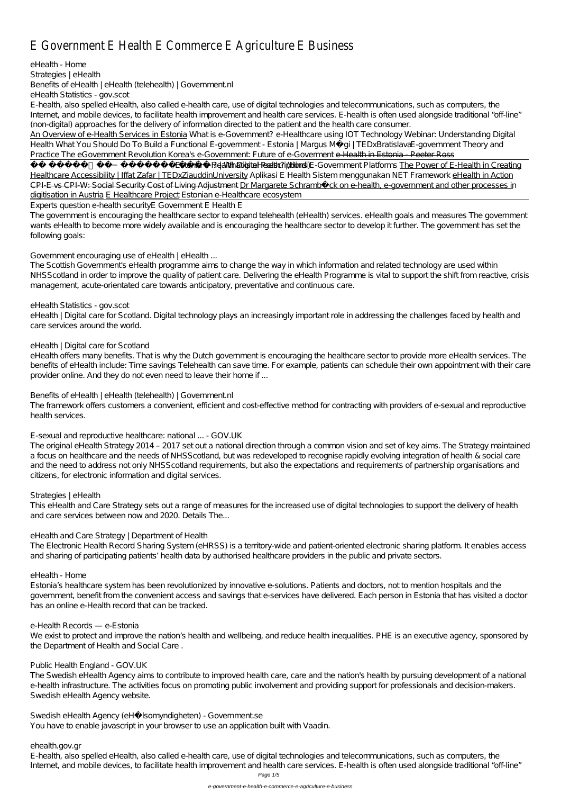# E Government E Health E Commerce E Agriculture E Business

*eHealth - Home Strategies | eHealth Benefits of eHealth | eHealth (telehealth) | Government.nl eHealth Statistics - gov.scot*

E-health, also spelled eHealth, also called e-health care, use of digital technologies and telecommunications, such as computers, the Internet, and mobile devices, to facilitate health improvement and health care services. E-health is often used alongside traditional "off-line" (non-digital) approaches for the delivery of information directed to the patient and the health care consumer.

? | What is Ebeanith ? (Headth Digital Prescriptions E-Government Platforms The Power of E-Health in Creating Healthcare Accessibility | Iffat Zafar | TEDxZiauddinUniversity Aplikasi E Health Sistem menggunakan NET Framework eHealth in Action CPI-E vs CPI-W: Social Security Cost of Living Adjustment Dr Margarete Schramböck on e-health, e-government and other processes in digitisation in Austria E Healthcare Project *Estonian e-Healthcare ecosystem*

An Overview of e-Health Services in Estonia What is e-Government? *e-Healthcare using IOT Technology Webinar: Understanding Digital Health What You Should Do To Build a Functional E-government - Estonia | Margus Mägi | TEDxBratislavaE-government Theory and Practice The eGovernment Revolution Korea's e-Government: Future of e-Goverment* e-Health in Estonia - Peeter Ross

The government is encouraging the healthcare sector to expand telehealth (eHealth) services. eHealth goals and measures The government wants eHealth to become more widely available and is encouraging the healthcare sector to develop it further. The government has set the following goals:

eHealth | Digital care for Scotland. Digital technology plays an increasingly important role in addressing the challenges faced by health and care services around the world.

Experts question e-health security*E Government E Health E*

### *Government encouraging use of eHealth | eHealth ...*

The Electronic Health Record Sharing System (eHRSS) is a territory-wide and patient-oriented electronic sharing platform. It enables access and sharing of participating patients' health data by authorised healthcare providers in the public and private sectors.

The Scottish Government's eHealth programme aims to change the way in which information and related technology are used within NHSScotland in order to improve the quality of patient care. Delivering the eHealth Programme is vital to support the shift from reactive, crisis management, acute-orientated care towards anticipatory, preventative and continuous care.

#### *eHealth Statistics - gov.scot*

We exist to protect and improve the nation's health and wellbeing, and reduce health inequalities. PHE is an executive agency, sponsored by the Department of Health and Social Care .

#### *eHealth | Digital care for Scotland*

E-health, also spelled eHealth, also called e-health care, use of digital technologies and telecommunications, such as computers, the Internet, and mobile devices, to facilitate health improvement and health care services. E-health is often used alongside traditional "off-line"

eHealth offers many benefits. That is why the Dutch government is encouraging the healthcare sector to provide more eHealth services. The benefits of eHealth include: Time savings Telehealth can save time. For example, patients can schedule their own appointment with their care provider online. And they do not even need to leave their home if ...

#### *Benefits of eHealth | eHealth (telehealth) | Government.nl*

The framework offers customers a convenient, efficient and cost-effective method for contracting with providers of e-sexual and reproductive health services.

#### *E-sexual and reproductive healthcare: national ... - GOV.UK*

The original eHealth Strategy 2014 – 2017 set out a national direction through a common vision and set of key aims. The Strategy maintained a focus on healthcare and the needs of NHSScotland, but was redeveloped to recognise rapidly evolving integration of health & social care and the need to address not only NHSS cotland requirements, but also the expectations and requirements of partnership organisations and citizens, for electronic information and digital services.

#### *Strategies | eHealth*

This eHealth and Care Strategy sets out a range of measures for the increased use of digital technologies to support the delivery of health and care services between now and 2020. Details The...

#### *eHealth and Care Strategy | Department of Health*

#### *eHealth - Home*

Estonia's healthcare system has been revolutionized by innovative e-solutions. Patients and doctors, not to mention hospitals and the government, benefit from the convenient access and savings that e-services have delivered. Each person in Estonia that has visited a doctor has an online e-Health record that can be tracked.

#### *e-Health Records — e-Estonia*

#### *Public Health England - GOV.UK*

The Swedish eHealth Agency aims to contribute to improved health care, care and the nation's health by pursuing development of a national e-health infrastructure. The activities focus on promoting public involvement and providing support for professionals and decision-makers. Swedish eHealth Agency website.

*Swedish eHealth Agency (eHälsomyndigheten) - Government.se* You have to enable javascript in your browser to use an application built with Vaadin.

*ehealth.gov.gr*

Page 1/5

e-government-e-health-e-commerce-e-agriculture-e-business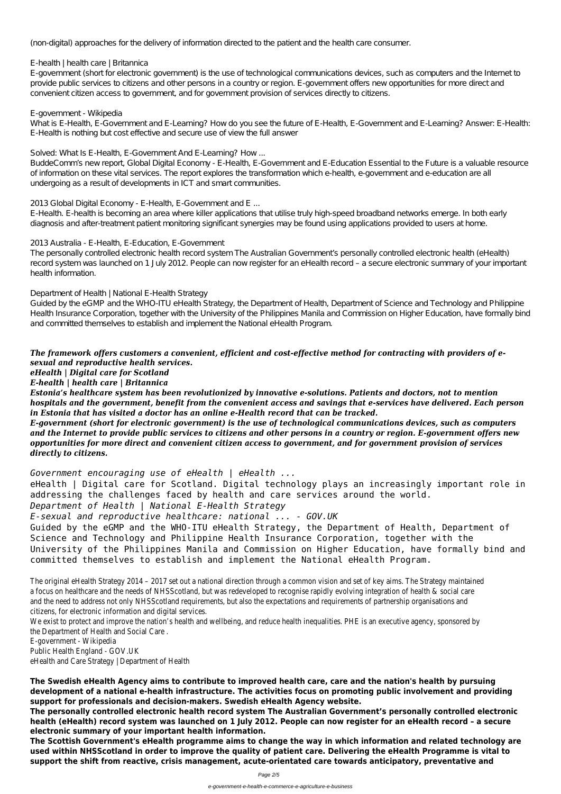(non-digital) approaches for the delivery of information directed to the patient and the health care consumer.

E-government (short for electronic government) is the use of technological communications devices, such as computers and the Internet to provide public services to citizens and other persons in a country or region. E-government offers new opportunities for more direct and convenient citizen access to government, and for government provision of services directly to citizens.

### *E-health | health care | Britannica*

What is E-Health, E-Government and E-Learning? How do you see the future of E-Health, E-Government and E-Learning? Answer: E-Health: E-Health is nothing but cost effective and secure use of view the full answer

#### *E-government - Wikipedia*

### *Solved: What Is E-Health, E-Government And E-Learning? How ...*

BuddeComm's new report, Global Digital Economy - E-Health, E-Government and E-Education Essential to the Future is a valuable resource of information on these vital services. The report explores the transformation which e-health, e-government and e-education are all undergoing as a result of developments in ICT and smart communities.

### *2013 Global Digital Economy - E-Health, E-Government and E ...*

E-Health. E-health is becoming an area where killer applications that utilise truly high-speed broadband networks emerge. In both early diagnosis and after-treatment patient monitoring significant synergies may be found using applications provided to users at home.

### *2013 Australia - E-Health, E-Education, E-Government*

The personally controlled electronic health record system The Australian Government's personally controlled electronic health (eHealth) record system was launched on 1 July 2012. People can now register for an eHealth record – a secure electronic summary of your important health information.

eHealth | Digital care for Scotland. Digital technology plays an increasingly important role in addressing the challenges faced by health and care services around the world.

### *Department of Health | National E-Health Strategy*

Guided by the eGMP and the WHO-ITU eHealth Strategy, the Department of Health, Department of Science and Technology and Philippine Health Insurance Corporation, together with the University of the Philippines Manila and Commission on Higher Education, have formally bind and committed themselves to establish and implement the National eHealth Program.

### *The framework offers customers a convenient, efficient and cost-effective method for contracting with providers of esexual and reproductive health services.*

*eHealth | Digital care for Scotland*

# *E-health | health care | Britannica*

*Estonia's healthcare system has been revolutionized by innovative e-solutions. Patients and doctors, not to mention hospitals and the government, benefit from the convenient access and savings that e-services have delivered. Each person in Estonia that has visited a doctor has an online e-Health record that can be tracked.*

*E-government (short for electronic government) is the use of technological communications devices, such as computers and the Internet to provide public services to citizens and other persons in a country or region. E-government offers new opportunities for more direct and convenient citizen access to government, and for government provision of services directly to citizens.*

*Government encouraging use of eHealth | eHealth ...*

# *Department of Health | National E-Health Strategy*

# *E-sexual and reproductive healthcare: national ... - GOV.UK*

Guided by the eGMP and the WHO-ITU eHealth Strategy, the Department of Health, Department of Science and Technology and Philippine Health Insurance Corporation, together with the University of the Philippines Manila and Commission on Higher Education, have formally bind and committed themselves to establish and implement the National eHealth Program.

The original eHealth Strategy 2014 – 2017 set out a national direction through a common vision and set of key aims. The Strategy maintained a focus on healthcare and the needs of NHSScotland, but was redeveloped to recognise rapidly evolving integration of health & social care and the need to address not only NHSScotland requirements, but also the expectations and requirements of partnership organisations and citizens, for electronic information and digital services.

We exist to protect and improve the nation's health and wellbeing, and reduce health inequalities. PHE is an executive agency, sponsored by the Department of Health and Social Care .

E-government - Wikipedia Public Health England - GOV.UK eHealth and Care Strategy | Department of Health

**The Swedish eHealth Agency aims to contribute to improved health care, care and the nation's health by pursuing development of a national e-health infrastructure. The activities focus on promoting public involvement and providing support for professionals and decision-makers. Swedish eHealth Agency website.**

**The personally controlled electronic health record system The Australian Government's personally controlled electronic health (eHealth) record system was launched on 1 July 2012. People can now register for an eHealth record – a secure electronic summary of your important health information.**

**The Scottish Government's eHealth programme aims to change the way in which information and related technology are used within NHSScotland in order to improve the quality of patient care. Delivering the eHealth Programme is vital to support the shift from reactive, crisis management, acute-orientated care towards anticipatory, preventative and**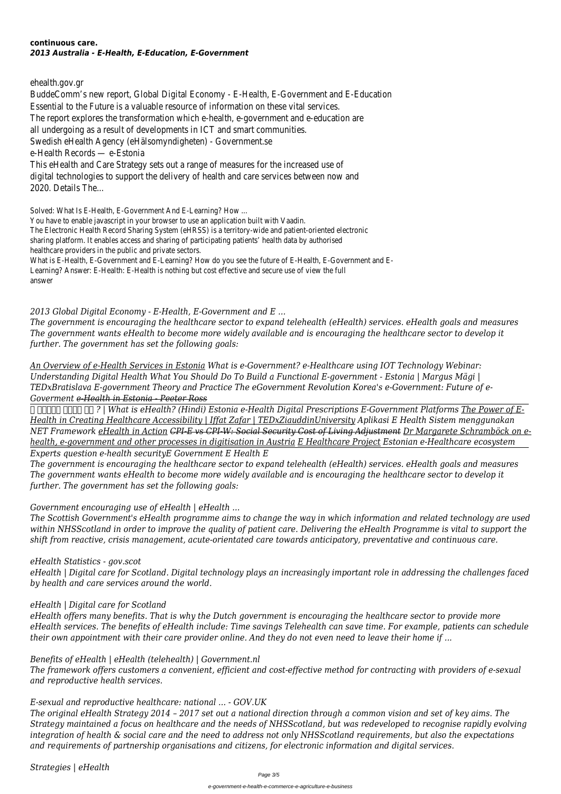#### **continuous care.** *2013 Australia - E-Health, E-Education, E-Government*

ehealth.gov.gr

BuddeComm's new report, Global Digital Economy - E-Health, E-Government and E-Education Essential to the Future is a valuable resource of information on these vital services. The report explores the transformation which e-health, e-government and e-education are all undergoing as a result of developments in ICT and smart communities. Swedish eHealth Agency (eHälsomyndigheten) - Government.se e-Health Records — e-Estonia This eHealth and Care Strategy sets out a range of measures for the increased use of digital technologies to support the delivery of health and care services between now and 2020. Details The...

Solved: What Is E-Health, E-Government And E-Learning? How ...

You have to enable javascript in your browser to use an application built with Vaadin. The Electronic Health Record Sharing System (eHRSS) is a territory-wide and patient-oriented electronic sharing platform. It enables access and sharing of participating patients' health data by authorised healthcare providers in the public and private sectors.

What is E-Health, E-Government and E-Learning? How do you see the future of E-Health, E-Government and E-Learning? Answer: E-Health: E-Health is nothing but cost effective and secure use of view the full answer

*FIFIRE 64 FORFIDE PIP 2 | What is eHealth? (Hindi) Estonia e-Health Digital Prescriptions E-Government Platforms The Power of E-Health in Creating Healthcare Accessibility | Iffat Zafar | TEDxZiauddinUniversity Aplikasi E Health Sistem menggunakan NET Framework eHealth in Action CPI-E vs CPI-W: Social Security Cost of Living Adjustment Dr Margarete Schramböck on ehealth, e-government and other processes in digitisation in Austria E Healthcare Project Estonian e-Healthcare ecosystem Experts question e-health securityE Government E Health E*

# *2013 Global Digital Economy - E-Health, E-Government and E ...*

*The government is encouraging the healthcare sector to expand telehealth (eHealth) services. eHealth goals and measures The government wants eHealth to become more widely available and is encouraging the healthcare sector to develop it further. The government has set the following goals:*

*An Overview of e-Health Services in Estonia What is e-Government? e-Healthcare using IOT Technology Webinar: Understanding Digital Health What You Should Do To Build a Functional E-government - Estonia | Margus Mägi | TEDxBratislava E-government Theory and Practice The eGovernment Revolution Korea's e-Government: Future of e-Goverment e-Health in Estonia - Peeter Ross*

*The government is encouraging the healthcare sector to expand telehealth (eHealth) services. eHealth goals and measures The government wants eHealth to become more widely available and is encouraging the healthcare sector to develop it further. The government has set the following goals:*

# *Government encouraging use of eHealth | eHealth ...*

*The Scottish Government's eHealth programme aims to change the way in which information and related technology are used within NHSScotland in order to improve the quality of patient care. Delivering the eHealth Programme is vital to support the shift from reactive, crisis management, acute-orientated care towards anticipatory, preventative and continuous care.*

# *eHealth Statistics - gov.scot*

*eHealth | Digital care for Scotland. Digital technology plays an increasingly important role in addressing the challenges faced by health and care services around the world.*

*eHealth | Digital care for Scotland*

*eHealth offers many benefits. That is why the Dutch government is encouraging the healthcare sector to provide more eHealth services. The benefits of eHealth include: Time savings Telehealth can save time. For example, patients can schedule their own appointment with their care provider online. And they do not even need to leave their home if ...*

*Benefits of eHealth | eHealth (telehealth) | Government.nl*

*The framework offers customers a convenient, efficient and cost-effective method for contracting with providers of e-sexual and reproductive health services.*

*E-sexual and reproductive healthcare: national ... - GOV.UK*

*The original eHealth Strategy 2014 – 2017 set out a national direction through a common vision and set of key aims. The Strategy maintained a focus on healthcare and the needs of NHSScotland, but was redeveloped to recognise rapidly evolving integration of health & social care and the need to address not only NHSScotland requirements, but also the expectations and requirements of partnership organisations and citizens, for electronic information and digital services.*

*Strategies | eHealth*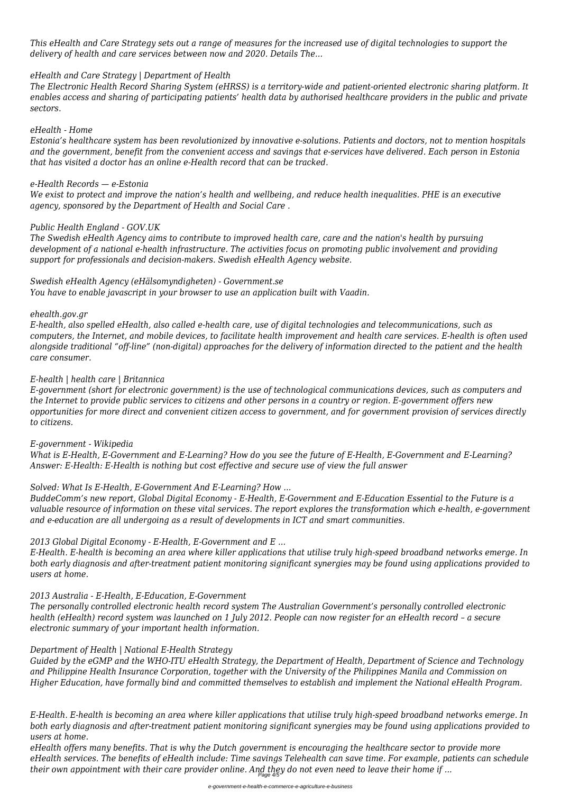*This eHealth and Care Strategy sets out a range of measures for the increased use of digital technologies to support the delivery of health and care services between now and 2020. Details The...*

### *eHealth and Care Strategy | Department of Health*

*The Electronic Health Record Sharing System (eHRSS) is a territory-wide and patient-oriented electronic sharing platform. It enables access and sharing of participating patients' health data by authorised healthcare providers in the public and private sectors.*

### *eHealth - Home*

*Estonia's healthcare system has been revolutionized by innovative e-solutions. Patients and doctors, not to mention hospitals and the government, benefit from the convenient access and savings that e-services have delivered. Each person in Estonia that has visited a doctor has an online e-Health record that can be tracked.*

# *e-Health Records — e-Estonia*

*We exist to protect and improve the nation's health and wellbeing, and reduce health inequalities. PHE is an executive agency, sponsored by the Department of Health and Social Care .*

# *Public Health England - GOV.UK*

*The Swedish eHealth Agency aims to contribute to improved health care, care and the nation's health by pursuing development of a national e-health infrastructure. The activities focus on promoting public involvement and providing support for professionals and decision-makers. Swedish eHealth Agency website.*

# *Swedish eHealth Agency (eHälsomyndigheten) - Government.se*

*You have to enable javascript in your browser to use an application built with Vaadin.*

# *ehealth.gov.gr*

*E-health, also spelled eHealth, also called e-health care, use of digital technologies and telecommunications, such as computers, the Internet, and mobile devices, to facilitate health improvement and health care services. E-health is often used alongside traditional "off-line" (non-digital) approaches for the delivery of information directed to the patient and the health care consumer.*

# *E-health | health care | Britannica*

*E-government (short for electronic government) is the use of technological communications devices, such as computers and the Internet to provide public services to citizens and other persons in a country or region. E-government offers new opportunities for more direct and convenient citizen access to government, and for government provision of services directly to citizens.*

# *E-government - Wikipedia*

*What is E-Health, E-Government and E-Learning? How do you see the future of E-Health, E-Government and E-Learning? Answer: E-Health: E-Health is nothing but cost effective and secure use of view the full answer*

# *Solved: What Is E-Health, E-Government And E-Learning? How ...*

*BuddeComm's new report, Global Digital Economy - E-Health, E-Government and E-Education Essential to the Future is a valuable resource of information on these vital services. The report explores the transformation which e-health, e-government and e-education are all undergoing as a result of developments in ICT and smart communities.*

# *2013 Global Digital Economy - E-Health, E-Government and E ...*

*E-Health. E-health is becoming an area where killer applications that utilise truly high-speed broadband networks emerge. In both early diagnosis and after-treatment patient monitoring significant synergies may be found using applications provided to users at home.*

#### *2013 Australia - E-Health, E-Education, E-Government*

*The personally controlled electronic health record system The Australian Government's personally controlled electronic health (eHealth) record system was launched on 1 July 2012. People can now register for an eHealth record – a secure electronic summary of your important health information.*

### *Department of Health | National E-Health Strategy*

*Guided by the eGMP and the WHO-ITU eHealth Strategy, the Department of Health, Department of Science and Technology and Philippine Health Insurance Corporation, together with the University of the Philippines Manila and Commission on Higher Education, have formally bind and committed themselves to establish and implement the National eHealth Program.*

*E-Health. E-health is becoming an area where killer applications that utilise truly high-speed broadband networks emerge. In both early diagnosis and after-treatment patient monitoring significant synergies may be found using applications provided to users at home.*

*eHealth offers many benefits. That is why the Dutch government is encouraging the healthcare sector to provide more eHealth services. The benefits of eHealth include: Time savings Telehealth can save time. For example, patients can schedule their own appointment with their care provider online. And they do not even need to leave their home if ...* Page 4/5